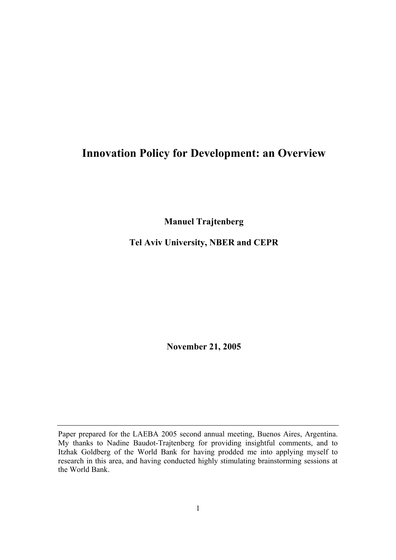# **Innovation Policy for Development: an Overview**

**Manuel Trajtenberg** 

## **Tel Aviv University, NBER and CEPR**

**November 21, 2005** 

Paper prepared for the LAEBA 2005 second annual meeting, Buenos Aires, Argentina. My thanks to Nadine Baudot-Trajtenberg for providing insightful comments, and to Itzhak Goldberg of the World Bank for having prodded me into applying myself to research in this area, and having conducted highly stimulating brainstorming sessions at the World Bank.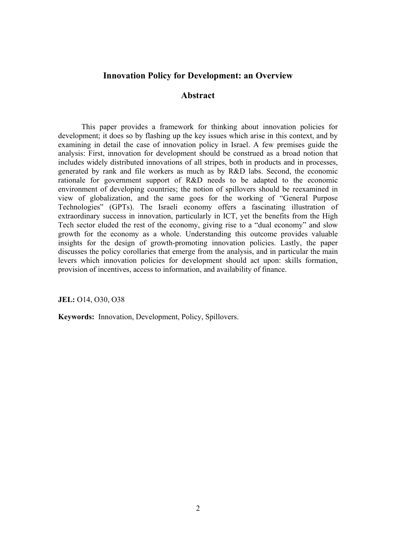### **Innovation Policy for Development: an Overview**

## **Abstract**

This paper provides a framework for thinking about innovation policies for development; it does so by flashing up the key issues which arise in this context, and by examining in detail the case of innovation policy in Israel. A few premises guide the analysis: First, innovation for development should be construed as a broad notion that includes widely distributed innovations of all stripes, both in products and in processes, generated by rank and file workers as much as by R&D labs. Second, the economic rationale for government support of R&D needs to be adapted to the economic environment of developing countries; the notion of spillovers should be reexamined in view of globalization, and the same goes for the working of "General Purpose Technologies" (GPTs). The Israeli economy offers a fascinating illustration of extraordinary success in innovation, particularly in ICT, yet the benefits from the High Tech sector eluded the rest of the economy, giving rise to a "dual economy" and slow growth for the economy as a whole. Understanding this outcome provides valuable insights for the design of growth-promoting innovation policies. Lastly, the paper discusses the policy corollaries that emerge from the analysis, and in particular the main levers which innovation policies for development should act upon: skills formation, provision of incentives, access to information, and availability of finance.

**JEL:** O14, O30, O38

**Keywords:** Innovation, Development, Policy, Spillovers.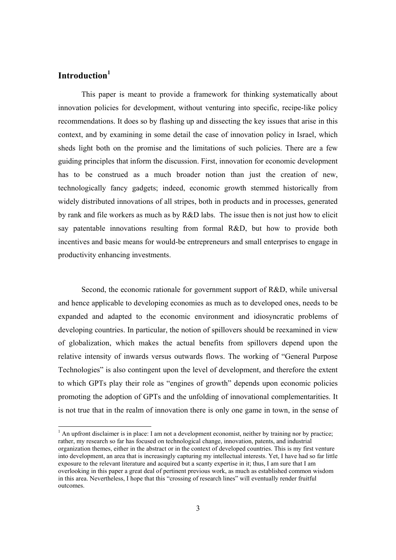## **Introduction<sup>1</sup>**

This paper is meant to provide a framework for thinking systematically about innovation policies for development, without venturing into specific, recipe-like policy recommendations. It does so by flashing up and dissecting the key issues that arise in this context, and by examining in some detail the case of innovation policy in Israel, which sheds light both on the promise and the limitations of such policies. There are a few guiding principles that inform the discussion. First, innovation for economic development has to be construed as a much broader notion than just the creation of new, technologically fancy gadgets; indeed, economic growth stemmed historically from widely distributed innovations of all stripes, both in products and in processes, generated by rank and file workers as much as by R&D labs. The issue then is not just how to elicit say patentable innovations resulting from formal R&D, but how to provide both incentives and basic means for would-be entrepreneurs and small enterprises to engage in productivity enhancing investments.

Second, the economic rationale for government support of R&D, while universal and hence applicable to developing economies as much as to developed ones, needs to be expanded and adapted to the economic environment and idiosyncratic problems of developing countries. In particular, the notion of spillovers should be reexamined in view of globalization, which makes the actual benefits from spillovers depend upon the relative intensity of inwards versus outwards flows. The working of "General Purpose Technologies" is also contingent upon the level of development, and therefore the extent to which GPTs play their role as "engines of growth" depends upon economic policies promoting the adoption of GPTs and the unfolding of innovational complementarities. It is not true that in the realm of innovation there is only one game in town, in the sense of

<sup>&</sup>lt;sup>1</sup> An upfront disclaimer is in place: I am not a development economist, neither by training nor by practice; rather, my research so far has focused on technological change, innovation, patents, and industrial organization themes, either in the abstract or in the context of developed countries. This is my first venture into development, an area that is increasingly capturing my intellectual interests. Yet, I have had so far little exposure to the relevant literature and acquired but a scanty expertise in it; thus, I am sure that I am overlooking in this paper a great deal of pertinent previous work, as much as established common wisdom in this area. Nevertheless, I hope that this "crossing of research lines" will eventually render fruitful outcomes.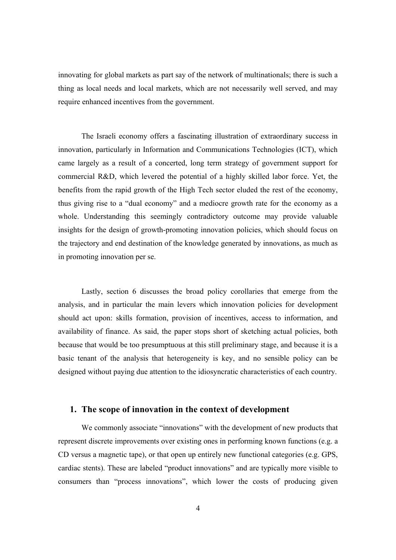innovating for global markets as part say of the network of multinationals; there is such a thing as local needs and local markets, which are not necessarily well served, and may require enhanced incentives from the government.

The Israeli economy offers a fascinating illustration of extraordinary success in innovation, particularly in Information and Communications Technologies (ICT), which came largely as a result of a concerted, long term strategy of government support for commercial R&D, which levered the potential of a highly skilled labor force. Yet, the benefits from the rapid growth of the High Tech sector eluded the rest of the economy, thus giving rise to a "dual economy" and a mediocre growth rate for the economy as a whole. Understanding this seemingly contradictory outcome may provide valuable insights for the design of growth-promoting innovation policies, which should focus on the trajectory and end destination of the knowledge generated by innovations, as much as in promoting innovation per se.

Lastly, section 6 discusses the broad policy corollaries that emerge from the analysis, and in particular the main levers which innovation policies for development should act upon: skills formation, provision of incentives, access to information, and availability of finance. As said, the paper stops short of sketching actual policies, both because that would be too presumptuous at this still preliminary stage, and because it is a basic tenant of the analysis that heterogeneity is key, and no sensible policy can be designed without paying due attention to the idiosyncratic characteristics of each country.

## **1. The scope of innovation in the context of development**

We commonly associate "innovations" with the development of new products that represent discrete improvements over existing ones in performing known functions (e.g. a CD versus a magnetic tape), or that open up entirely new functional categories (e.g. GPS, cardiac stents). These are labeled "product innovations" and are typically more visible to consumers than "process innovations", which lower the costs of producing given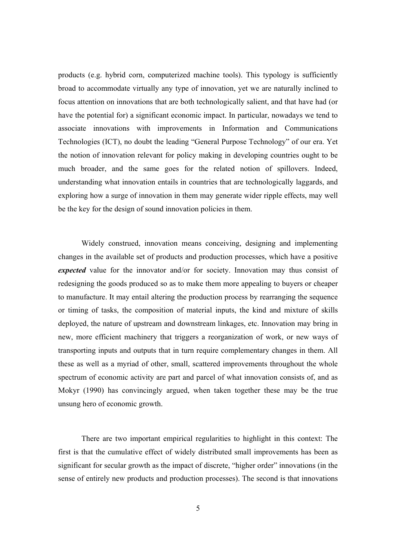products (e.g. hybrid corn, computerized machine tools). This typology is sufficiently broad to accommodate virtually any type of innovation, yet we are naturally inclined to focus attention on innovations that are both technologically salient, and that have had (or have the potential for) a significant economic impact. In particular, nowadays we tend to associate innovations with improvements in Information and Communications Technologies (ICT), no doubt the leading "General Purpose Technology" of our era. Yet the notion of innovation relevant for policy making in developing countries ought to be much broader, and the same goes for the related notion of spillovers. Indeed, understanding what innovation entails in countries that are technologically laggards, and exploring how a surge of innovation in them may generate wider ripple effects, may well be the key for the design of sound innovation policies in them.

Widely construed, innovation means conceiving, designing and implementing changes in the available set of products and production processes, which have a positive *expected* value for the innovator and/or for society. Innovation may thus consist of redesigning the goods produced so as to make them more appealing to buyers or cheaper to manufacture. It may entail altering the production process by rearranging the sequence or timing of tasks, the composition of material inputs, the kind and mixture of skills deployed, the nature of upstream and downstream linkages, etc. Innovation may bring in new, more efficient machinery that triggers a reorganization of work, or new ways of transporting inputs and outputs that in turn require complementary changes in them. All these as well as a myriad of other, small, scattered improvements throughout the whole spectrum of economic activity are part and parcel of what innovation consists of, and as Mokyr (1990) has convincingly argued, when taken together these may be the true unsung hero of economic growth.

There are two important empirical regularities to highlight in this context: The first is that the cumulative effect of widely distributed small improvements has been as significant for secular growth as the impact of discrete, "higher order" innovations (in the sense of entirely new products and production processes). The second is that innovations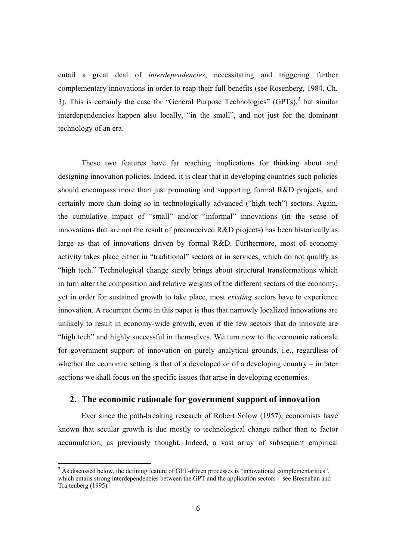entail a great deal of *interdependencies*, necessitating and triggering further complementary innovations in order to reap their full benefits (see Rosenberg, 1984, Ch. 3). This is certainly the case for "General Purpose Technologies" (GPTs), $^2$  but similar interdependencies happen also locally, "in the small", and not just for the dominant technology of an era.

These two features have far reaching implications for thinking about and designing innovation policies. Indeed, it is clear that in developing countries such policies should encompass more than just promoting and supporting formal R&D projects, and certainly more than doing so in technologically advanced ("high tech") sectors. Again, the cumulative impact of "small" and/or "informal" innovations (in the sense of innovations that are not the result of preconceived R&D projects) has been historically as large as that of innovations driven by formal R&D. Furthermore, most of economy activity takes place either in "traditional" sectors or in services, which do not qualify as "high tech." Technological change surely brings about structural transformations which in turn alter the composition and relative weights of the different sectors of the economy, yet in order for sustained growth to take place, most *existing* sectors have to experience innovation. A recurrent theme in this paper is thus that narrowly localized innovations are unlikely to result in economy-wide growth, even if the few sectors that do innovate are "high tech" and highly successful in themselves. We turn now to the economic rationale for government support of innovation on purely analytical grounds, i.e., regardless of whether the economic setting is that of a developed or of a developing country  $-$  in later sections we shall focus on the specific issues that arise in developing economies.

## **2. The economic rationale for government support of innovation**

Ever since the path-breaking research of Robert Solow (1957), economists have known that secular growth is due mostly to technological change rather than to factor accumulation, as previously thought. Indeed, a vast array of subsequent empirical

 $2$  As discussed below, the defining feature of GPT-driven processes is "innovational complementarities", which entails strong interdependencies between the GPT and the application sectors - see Bresnahan and Traitenberg (1995).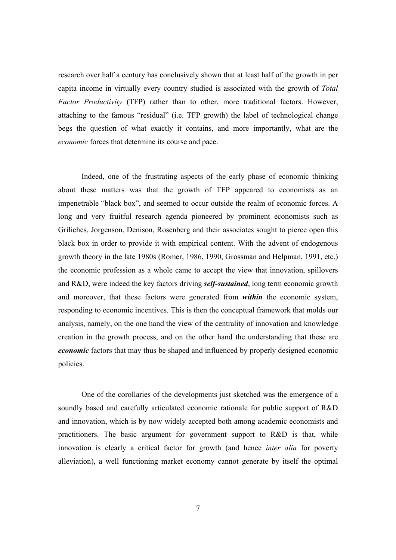research over half a century has conclusively shown that at least half of the growth in per capita income in virtually every country studied is associated with the growth of *Total Factor Productivity* (TFP) rather than to other, more traditional factors. However, attaching to the famous "residual" (i.e. TFP growth) the label of technological change begs the question of what exactly it contains, and more importantly, what are the *economic* forces that determine its course and pace.

Indeed, one of the frustrating aspects of the early phase of economic thinking about these matters was that the growth of TFP appeared to economists as an impenetrable "black box", and seemed to occur outside the realm of economic forces. A long and very fruitful research agenda pioneered by prominent economists such as Griliches, Jorgenson, Denison, Rosenberg and their associates sought to pierce open this black box in order to provide it with empirical content. With the advent of endogenous growth theory in the late 1980s (Romer, 1986, 1990, Grossman and Helpman, 1991, etc.) the economic profession as a whole came to accept the view that innovation, spillovers and R&D, were indeed the key factors driving *self-sustained*, long term economic growth and moreover, that these factors were generated from *within* the economic system, responding to economic incentives. This is then the conceptual framework that molds our analysis, namely, on the one hand the view of the centrality of innovation and knowledge creation in the growth process, and on the other hand the understanding that these are *economic* factors that may thus be shaped and influenced by properly designed economic policies.

One of the corollaries of the developments just sketched was the emergence of a soundly based and carefully articulated economic rationale for public support of R&D and innovation, which is by now widely accepted both among academic economists and practitioners. The basic argument for government support to R&D is that, while innovation is clearly a critical factor for growth (and hence *inter alia* for poverty alleviation), a well functioning market economy cannot generate by itself the optimal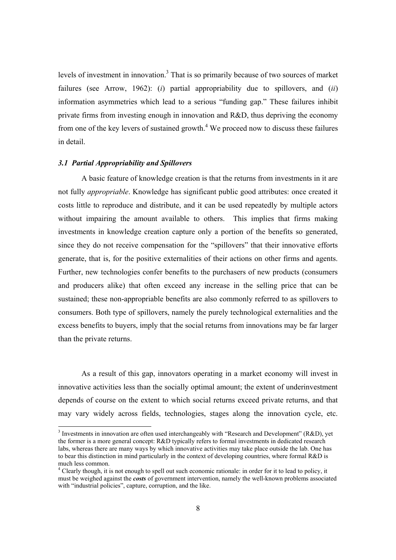levels of investment in innovation.<sup>3</sup> That is so primarily because of two sources of market failures (see Arrow, 1962): (*i*) partial appropriability due to spillovers, and (*ii*) information asymmetries which lead to a serious "funding gap." These failures inhibit private firms from investing enough in innovation and R&D, thus depriving the economy from one of the key levers of sustained growth.<sup>4</sup> We proceed now to discuss these failures in detail.

#### *3.1 Partial Appropriability and Spillovers*

A basic feature of knowledge creation is that the returns from investments in it are not fully *appropriable*. Knowledge has significant public good attributes: once created it costs little to reproduce and distribute, and it can be used repeatedly by multiple actors without impairing the amount available to others. This implies that firms making investments in knowledge creation capture only a portion of the benefits so generated, since they do not receive compensation for the "spillovers" that their innovative efforts generate, that is, for the positive externalities of their actions on other firms and agents. Further, new technologies confer benefits to the purchasers of new products (consumers and producers alike) that often exceed any increase in the selling price that can be sustained; these non-appropriable benefits are also commonly referred to as spillovers to consumers. Both type of spillovers, namely the purely technological externalities and the excess benefits to buyers, imply that the social returns from innovations may be far larger than the private returns.

As a result of this gap, innovators operating in a market economy will invest in innovative activities less than the socially optimal amount; the extent of underinvestment depends of course on the extent to which social returns exceed private returns, and that may vary widely across fields, technologies, stages along the innovation cycle, etc.

<sup>&</sup>lt;sup>3</sup> Investments in innovation are often used interchangeably with "Research and Development" (R&D), yet the former is a more general concept: R&D typically refers to formal investments in dedicated research labs, whereas there are many ways by which innovative activities may take place outside the lab. One has to bear this distinction in mind particularly in the context of developing countries, where formal R&D is much less common.

<sup>&</sup>lt;sup>4</sup> Clearly though, it is not enough to spell out such economic rationale: in order for it to lead to policy, it must be weighed against the *costs* of government intervention, namely the well-known problems associated with "industrial policies", capture, corruption, and the like.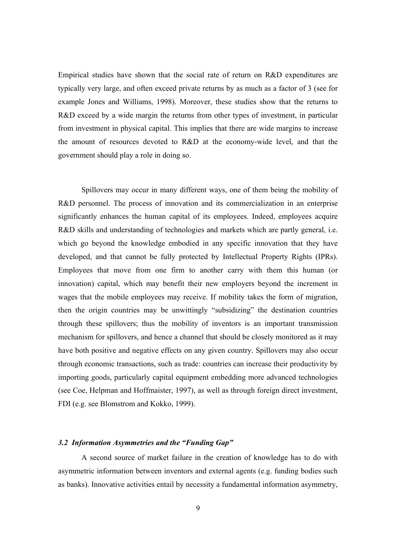Empirical studies have shown that the social rate of return on R&D expenditures are typically very large, and often exceed private returns by as much as a factor of 3 (see for example Jones and Williams, 1998). Moreover, these studies show that the returns to R&D exceed by a wide margin the returns from other types of investment, in particular from investment in physical capital. This implies that there are wide margins to increase the amount of resources devoted to R&D at the economy-wide level, and that the government should play a role in doing so.

Spillovers may occur in many different ways, one of them being the mobility of R&D personnel. The process of innovation and its commercialization in an enterprise significantly enhances the human capital of its employees. Indeed, employees acquire R&D skills and understanding of technologies and markets which are partly general, i.e. which go beyond the knowledge embodied in any specific innovation that they have developed, and that cannot be fully protected by Intellectual Property Rights (IPRs). Employees that move from one firm to another carry with them this human (or innovation) capital, which may benefit their new employers beyond the increment in wages that the mobile employees may receive. If mobility takes the form of migration, then the origin countries may be unwittingly "subsidizing" the destination countries through these spillovers; thus the mobility of inventors is an important transmission mechanism for spillovers, and hence a channel that should be closely monitored as it may have both positive and negative effects on any given country. Spillovers may also occur through economic transactions, such as trade: countries can increase their productivity by importing goods, particularly capital equipment embedding more advanced technologies (see Coe, Helpman and Hoffmaister, 1997), as well as through foreign direct investment, FDI (e.g. see Blomstrom and Kokko, 1999).

#### *3.2 Information Asymmetries and the "Funding Gap"*

A second source of market failure in the creation of knowledge has to do with asymmetric information between inventors and external agents (e.g. funding bodies such as banks). Innovative activities entail by necessity a fundamental information asymmetry,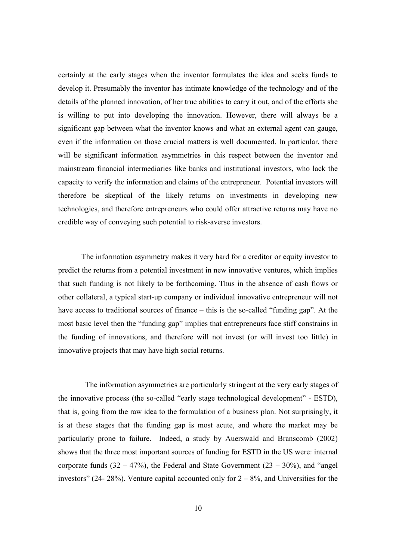certainly at the early stages when the inventor formulates the idea and seeks funds to develop it. Presumably the inventor has intimate knowledge of the technology and of the details of the planned innovation, of her true abilities to carry it out, and of the efforts she is willing to put into developing the innovation. However, there will always be a significant gap between what the inventor knows and what an external agent can gauge, even if the information on those crucial matters is well documented. In particular, there will be significant information asymmetries in this respect between the inventor and mainstream financial intermediaries like banks and institutional investors, who lack the capacity to verify the information and claims of the entrepreneur. Potential investors will therefore be skeptical of the likely returns on investments in developing new technologies, and therefore entrepreneurs who could offer attractive returns may have no credible way of conveying such potential to risk-averse investors.

The information asymmetry makes it very hard for a creditor or equity investor to predict the returns from a potential investment in new innovative ventures, which implies that such funding is not likely to be forthcoming. Thus in the absence of cash flows or other collateral, a typical start-up company or individual innovative entrepreneur will not have access to traditional sources of finance – this is the so-called "funding gap". At the most basic level then the "funding gap" implies that entrepreneurs face stiff constrains in the funding of innovations, and therefore will not invest (or will invest too little) in innovative projects that may have high social returns.

The information asymmetries are particularly stringent at the very early stages of the innovative process (the so-called "early stage technological development" - ESTD), that is, going from the raw idea to the formulation of a business plan. Not surprisingly, it is at these stages that the funding gap is most acute, and where the market may be particularly prone to failure. Indeed, a study by Auerswald and Branscomb (2002) shows that the three most important sources of funding for ESTD in the US were: internal corporate funds  $(32 - 47%)$ , the Federal and State Government  $(23 - 30%)$ , and "angel" investors" (24- 28%). Venture capital accounted only for  $2 - 8\%$ , and Universities for the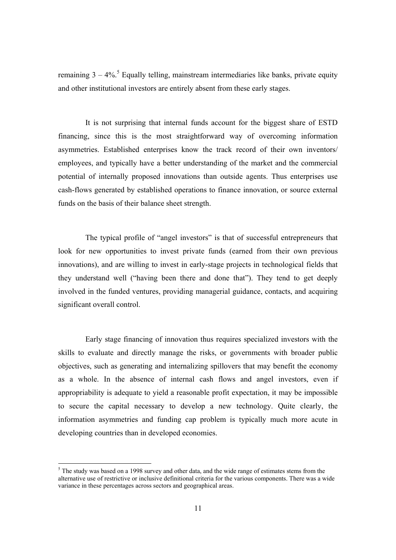remaining  $3 - 4\%$ <sup>5</sup> Equally telling, mainstream intermediaries like banks, private equity and other institutional investors are entirely absent from these early stages.

It is not surprising that internal funds account for the biggest share of ESTD financing, since this is the most straightforward way of overcoming information asymmetries. Established enterprises know the track record of their own inventors/ employees, and typically have a better understanding of the market and the commercial potential of internally proposed innovations than outside agents. Thus enterprises use cash-flows generated by established operations to finance innovation, or source external funds on the basis of their balance sheet strength.

The typical profile of "angel investors" is that of successful entrepreneurs that look for new opportunities to invest private funds (earned from their own previous innovations), and are willing to invest in early-stage projects in technological fields that they understand well ("having been there and done that"). They tend to get deeply involved in the funded ventures, providing managerial guidance, contacts, and acquiring significant overall control.

Early stage financing of innovation thus requires specialized investors with the skills to evaluate and directly manage the risks, or governments with broader public objectives, such as generating and internalizing spillovers that may benefit the economy as a whole. In the absence of internal cash flows and angel investors, even if appropriability is adequate to yield a reasonable profit expectation, it may be impossible to secure the capital necessary to develop a new technology. Quite clearly, the information asymmetries and funding cap problem is typically much more acute in developing countries than in developed economies.

<sup>&</sup>lt;sup>5</sup> The study was based on a 1998 survey and other data, and the wide range of estimates stems from the alternative use of restrictive or inclusive definitional criteria for the various components. There was a wide variance in these percentages across sectors and geographical areas.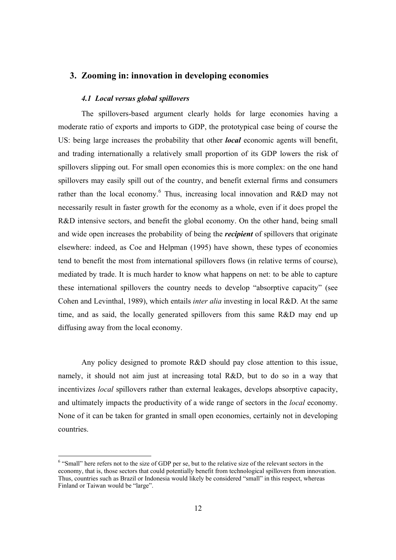## **3. Zooming in: innovation in developing economies**

#### *4.1 Local versus global spillovers*

 The spillovers-based argument clearly holds for large economies having a moderate ratio of exports and imports to GDP, the prototypical case being of course the US: being large increases the probability that other *local* economic agents will benefit, and trading internationally a relatively small proportion of its GDP lowers the risk of spillovers slipping out. For small open economies this is more complex: on the one hand spillovers may easily spill out of the country, and benefit external firms and consumers rather than the local economy.<sup>6</sup> Thus, increasing local innovation and R&D may not necessarily result in faster growth for the economy as a whole, even if it does propel the R&D intensive sectors, and benefit the global economy. On the other hand, being small and wide open increases the probability of being the *recipient* of spillovers that originate elsewhere: indeed, as Coe and Helpman (1995) have shown, these types of economies tend to benefit the most from international spillovers flows (in relative terms of course), mediated by trade. It is much harder to know what happens on net: to be able to capture these international spillovers the country needs to develop "absorptive capacity" (see Cohen and Levinthal, 1989), which entails *inter alia* investing in local R&D. At the same time, and as said, the locally generated spillovers from this same R&D may end up diffusing away from the local economy.

Any policy designed to promote R&D should pay close attention to this issue, namely, it should not aim just at increasing total R&D, but to do so in a way that incentivizes *local* spillovers rather than external leakages, develops absorptive capacity, and ultimately impacts the productivity of a wide range of sectors in the *local* economy. None of it can be taken for granted in small open economies, certainly not in developing countries.

<sup>&</sup>lt;sup>6</sup> "Small" here refers not to the size of GDP per se, but to the relative size of the relevant sectors in the economy, that is, those sectors that could potentially benefit from technological spillovers from innovation. Thus, countries such as Brazil or Indonesia would likely be considered "small" in this respect, whereas Finland or Taiwan would be "large".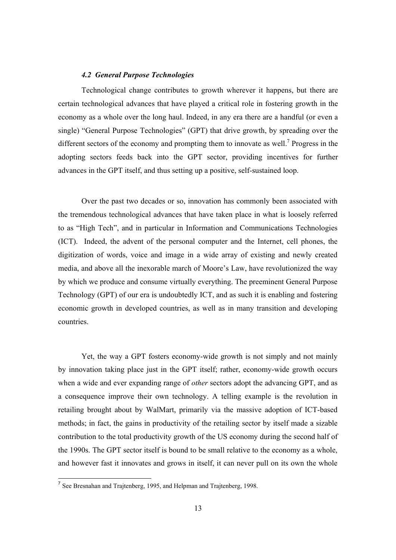#### *4.2 General Purpose Technologies*

Technological change contributes to growth wherever it happens, but there are certain technological advances that have played a critical role in fostering growth in the economy as a whole over the long haul. Indeed, in any era there are a handful (or even a single) "General Purpose Technologies" (GPT) that drive growth, by spreading over the different sectors of the economy and prompting them to innovate as well.<sup>7</sup> Progress in the adopting sectors feeds back into the GPT sector, providing incentives for further advances in the GPT itself, and thus setting up a positive, self-sustained loop.

Over the past two decades or so, innovation has commonly been associated with the tremendous technological advances that have taken place in what is loosely referred to as "High Tech", and in particular in Information and Communications Technologies (ICT). Indeed, the advent of the personal computer and the Internet, cell phones, the digitization of words, voice and image in a wide array of existing and newly created media, and above all the inexorable march of Moore's Law, have revolutionized the way by which we produce and consume virtually everything. The preeminent General Purpose Technology (GPT) of our era is undoubtedly ICT, and as such it is enabling and fostering economic growth in developed countries, as well as in many transition and developing countries.

Yet, the way a GPT fosters economy-wide growth is not simply and not mainly by innovation taking place just in the GPT itself; rather, economy-wide growth occurs when a wide and ever expanding range of *other* sectors adopt the advancing GPT, and as a consequence improve their own technology. A telling example is the revolution in retailing brought about by WalMart, primarily via the massive adoption of ICT-based methods; in fact, the gains in productivity of the retailing sector by itself made a sizable contribution to the total productivity growth of the US economy during the second half of the 1990s. The GPT sector itself is bound to be small relative to the economy as a whole, and however fast it innovates and grows in itself, it can never pull on its own the whole

<sup>&</sup>lt;sup>7</sup> See Bresnahan and Trajtenberg, 1995, and Helpman and Trajtenberg, 1998.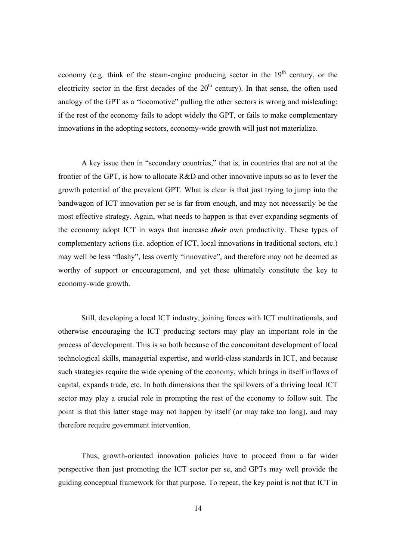economy (e.g. think of the steam-engine producing sector in the  $19<sup>th</sup>$  century, or the electricity sector in the first decades of the  $20<sup>th</sup>$  century). In that sense, the often used analogy of the GPT as a "locomotive" pulling the other sectors is wrong and misleading: if the rest of the economy fails to adopt widely the GPT, or fails to make complementary innovations in the adopting sectors, economy-wide growth will just not materialize.

A key issue then in "secondary countries," that is, in countries that are not at the frontier of the GPT, is how to allocate R&D and other innovative inputs so as to lever the growth potential of the prevalent GPT. What is clear is that just trying to jump into the bandwagon of ICT innovation per se is far from enough, and may not necessarily be the most effective strategy. Again, what needs to happen is that ever expanding segments of the economy adopt ICT in ways that increase *their* own productivity. These types of complementary actions (i.e. adoption of ICT, local innovations in traditional sectors, etc.) may well be less "flashy", less overtly "innovative", and therefore may not be deemed as worthy of support or encouragement, and yet these ultimately constitute the key to economy-wide growth.

Still, developing a local ICT industry, joining forces with ICT multinationals, and otherwise encouraging the ICT producing sectors may play an important role in the process of development. This is so both because of the concomitant development of local technological skills, managerial expertise, and world-class standards in ICT, and because such strategies require the wide opening of the economy, which brings in itself inflows of capital, expands trade, etc. In both dimensions then the spillovers of a thriving local ICT sector may play a crucial role in prompting the rest of the economy to follow suit. The point is that this latter stage may not happen by itself (or may take too long), and may therefore require government intervention.

Thus, growth-oriented innovation policies have to proceed from a far wider perspective than just promoting the ICT sector per se, and GPTs may well provide the guiding conceptual framework for that purpose. To repeat, the key point is not that ICT in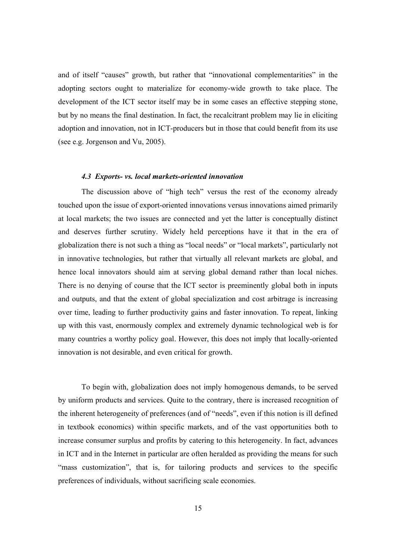and of itself "causes" growth, but rather that "innovational complementarities" in the adopting sectors ought to materialize for economy-wide growth to take place. The development of the ICT sector itself may be in some cases an effective stepping stone, but by no means the final destination. In fact, the recalcitrant problem may lie in eliciting adoption and innovation, not in ICT-producers but in those that could benefit from its use (see e.g. Jorgenson and Vu, 2005).

#### *4.3 Exports- vs. local markets-oriented innovation*

 The discussion above of "high tech" versus the rest of the economy already touched upon the issue of export-oriented innovations versus innovations aimed primarily at local markets; the two issues are connected and yet the latter is conceptually distinct and deserves further scrutiny. Widely held perceptions have it that in the era of globalization there is not such a thing as "local needs" or "local markets", particularly not in innovative technologies, but rather that virtually all relevant markets are global, and hence local innovators should aim at serving global demand rather than local niches. There is no denying of course that the ICT sector is preeminently global both in inputs and outputs, and that the extent of global specialization and cost arbitrage is increasing over time, leading to further productivity gains and faster innovation. To repeat, linking up with this vast, enormously complex and extremely dynamic technological web is for many countries a worthy policy goal. However, this does not imply that locally-oriented innovation is not desirable, and even critical for growth.

 To begin with, globalization does not imply homogenous demands, to be served by uniform products and services. Quite to the contrary, there is increased recognition of the inherent heterogeneity of preferences (and of "needs", even if this notion is ill defined in textbook economics) within specific markets, and of the vast opportunities both to increase consumer surplus and profits by catering to this heterogeneity. In fact, advances in ICT and in the Internet in particular are often heralded as providing the means for such "mass customization", that is, for tailoring products and services to the specific preferences of individuals, without sacrificing scale economies.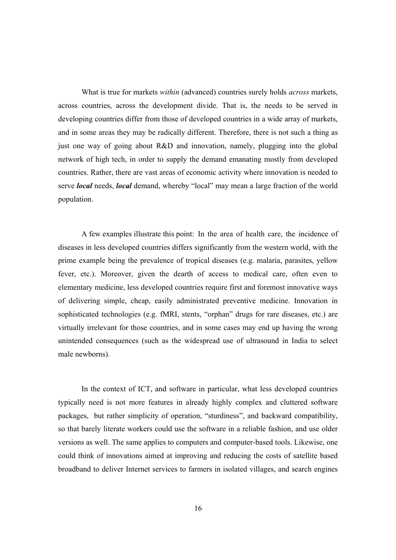What is true for markets *within* (advanced) countries surely holds *across* markets, across countries, across the development divide. That is, the needs to be served in developing countries differ from those of developed countries in a wide array of markets, and in some areas they may be radically different. Therefore, there is not such a thing as just one way of going about R&D and innovation, namely, plugging into the global network of high tech, in order to supply the demand emanating mostly from developed countries. Rather, there are vast areas of economic activity where innovation is needed to serve *local* needs, *local* demand, whereby "local" may mean a large fraction of the world population.

A few examples illustrate this point: In the area of health care, the incidence of diseases in less developed countries differs significantly from the western world, with the prime example being the prevalence of tropical diseases (e.g. malaria, parasites, yellow fever, etc.). Moreover, given the dearth of access to medical care, often even to elementary medicine, less developed countries require first and foremost innovative ways of delivering simple, cheap, easily administrated preventive medicine. Innovation in sophisticated technologies (e.g. fMRI, stents, "orphan" drugs for rare diseases, etc.) are virtually irrelevant for those countries, and in some cases may end up having the wrong unintended consequences (such as the widespread use of ultrasound in India to select male newborns).

 In the context of ICT, and software in particular, what less developed countries typically need is not more features in already highly complex and cluttered software packages, but rather simplicity of operation, "sturdiness", and backward compatibility, so that barely literate workers could use the software in a reliable fashion, and use older versions as well. The same applies to computers and computer-based tools. Likewise, one could think of innovations aimed at improving and reducing the costs of satellite based broadband to deliver Internet services to farmers in isolated villages, and search engines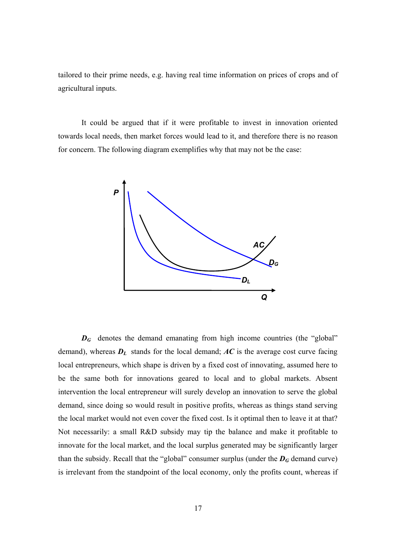tailored to their prime needs, e.g. having real time information on prices of crops and of agricultural inputs.

 It could be argued that if it were profitable to invest in innovation oriented towards local needs, then market forces would lead to it, and therefore there is no reason for concern. The following diagram exemplifies why that may not be the case:



*D<sub>G</sub>* denotes the demand emanating from high income countries (the "global" demand), whereas  $D_L$  stands for the local demand;  $AC$  is the average cost curve facing local entrepreneurs, which shape is driven by a fixed cost of innovating, assumed here to be the same both for innovations geared to local and to global markets. Absent intervention the local entrepreneur will surely develop an innovation to serve the global demand, since doing so would result in positive profits, whereas as things stand serving the local market would not even cover the fixed cost. Is it optimal then to leave it at that? Not necessarily: a small R&D subsidy may tip the balance and make it profitable to innovate for the local market, and the local surplus generated may be significantly larger than the subsidy. Recall that the "global" consumer surplus (under the  $D<sub>G</sub>$  demand curve) is irrelevant from the standpoint of the local economy, only the profits count, whereas if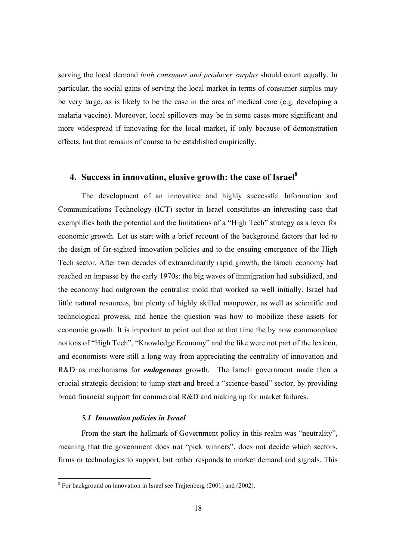serving the local demand *both consumer and producer surplus* should count equally. In particular, the social gains of serving the local market in terms of consumer surplus may be very large, as is likely to be the case in the area of medical care (e.g. developing a malaria vaccine). Moreover, local spillovers may be in some cases more significant and more widespread if innovating for the local market, if only because of demonstration effects, but that remains of course to be established empirically.

## **4.** Success in innovation, elusive growth: the case of Israel<sup>8</sup>

The development of an innovative and highly successful Information and Communications Technology (ICT) sector in Israel constitutes an interesting case that exemplifies both the potential and the limitations of a "High Tech" strategy as a lever for economic growth. Let us start with a brief recount of the background factors that led to the design of far-sighted innovation policies and to the ensuing emergence of the High Tech sector. After two decades of extraordinarily rapid growth, the Israeli economy had reached an impasse by the early 1970s: the big waves of immigration had subsidized, and the economy had outgrown the centralist mold that worked so well initially. Israel had little natural resources, but plenty of highly skilled manpower, as well as scientific and technological prowess, and hence the question was how to mobilize these assets for economic growth. It is important to point out that at that time the by now commonplace notions of "High Tech", "Knowledge Economy" and the like were not part of the lexicon, and economists were still a long way from appreciating the centrality of innovation and R&D as mechanisms for *endogenous* growth. The Israeli government made then a crucial strategic decision: to jump start and breed a "science-based" sector, by providing broad financial support for commercial R&D and making up for market failures.

#### *5.1 Innovation policies in Israel*

 From the start the hallmark of Government policy in this realm was "neutrality", meaning that the government does not "pick winners", does not decide which sectors, firms or technologies to support, but rather responds to market demand and signals. This

 $8 \text{ For background on innovation in Israel see Traitenberg (2001) and (2002).}$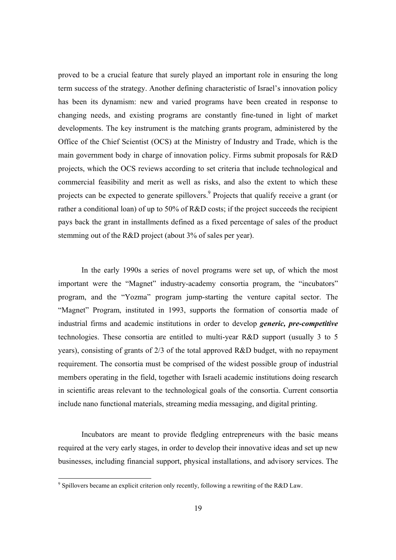proved to be a crucial feature that surely played an important role in ensuring the long term success of the strategy. Another defining characteristic of Israel's innovation policy has been its dynamism: new and varied programs have been created in response to changing needs, and existing programs are constantly fine-tuned in light of market developments. The key instrument is the matching grants program, administered by the Office of the Chief Scientist (OCS) at the Ministry of Industry and Trade, which is the main government body in charge of innovation policy. Firms submit proposals for R&D projects, which the OCS reviews according to set criteria that include technological and commercial feasibility and merit as well as risks, and also the extent to which these projects can be expected to generate spillovers.<sup>9</sup> Projects that qualify receive a grant (or rather a conditional loan) of up to 50% of R&D costs; if the project succeeds the recipient pays back the grant in installments defined as a fixed percentage of sales of the product stemming out of the R&D project (about 3% of sales per year).

In the early 1990s a series of novel programs were set up, of which the most important were the "Magnet" industry-academy consortia program, the "incubators" program, and the "Yozma" program jump-starting the venture capital sector. The "Magnet" Program, instituted in 1993, supports the formation of consortia made of industrial firms and academic institutions in order to develop *generic, pre-competitive* technologies. These consortia are entitled to multi-year R&D support (usually 3 to 5 years), consisting of grants of 2/3 of the total approved R&D budget, with no repayment requirement. The consortia must be comprised of the widest possible group of industrial members operating in the field, together with Israeli academic institutions doing research in scientific areas relevant to the technological goals of the consortia. Current consortia include nano functional materials, streaming media messaging, and digital printing.

Incubators are meant to provide fledgling entrepreneurs with the basic means required at the very early stages, in order to develop their innovative ideas and set up new businesses, including financial support, physical installations, and advisory services. The

<sup>&</sup>lt;sup>9</sup> Spillovers became an explicit criterion only recently, following a rewriting of the R&D Law.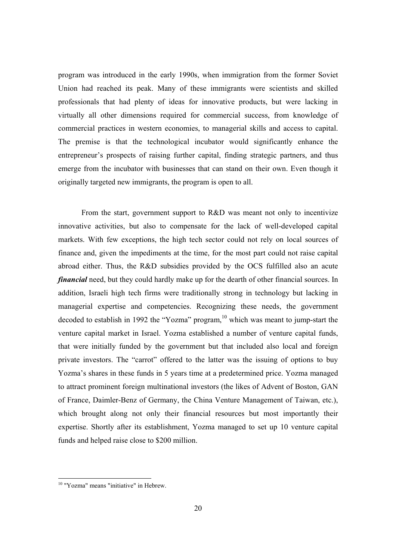program was introduced in the early 1990s, when immigration from the former Soviet Union had reached its peak. Many of these immigrants were scientists and skilled professionals that had plenty of ideas for innovative products, but were lacking in virtually all other dimensions required for commercial success, from knowledge of commercial practices in western economies, to managerial skills and access to capital. The premise is that the technological incubator would significantly enhance the entrepreneur's prospects of raising further capital, finding strategic partners, and thus emerge from the incubator with businesses that can stand on their own. Even though it originally targeted new immigrants, the program is open to all.

From the start, government support to R&D was meant not only to incentivize innovative activities, but also to compensate for the lack of well-developed capital markets. With few exceptions, the high tech sector could not rely on local sources of finance and, given the impediments at the time, for the most part could not raise capital abroad either. Thus, the R&D subsidies provided by the OCS fulfilled also an acute *financial* need, but they could hardly make up for the dearth of other financial sources. In addition, Israeli high tech firms were traditionally strong in technology but lacking in managerial expertise and competencies. Recognizing these needs, the government decoded to establish in 1992 the "Yozma" program,<sup>10</sup> which was meant to jump-start the venture capital market in Israel. Yozma established a number of venture capital funds, that were initially funded by the government but that included also local and foreign private investors. The "carrot" offered to the latter was the issuing of options to buy Yozma's shares in these funds in 5 years time at a predetermined price. Yozma managed to attract prominent foreign multinational investors (the likes of Advent of Boston, GAN of France, Daimler-Benz of Germany, the China Venture Management of Taiwan, etc.), which brought along not only their financial resources but most importantly their expertise. Shortly after its establishment, Yozma managed to set up 10 venture capital funds and helped raise close to \$200 million.

<sup>&</sup>lt;sup>10</sup> "Yozma" means "initiative" in Hebrew.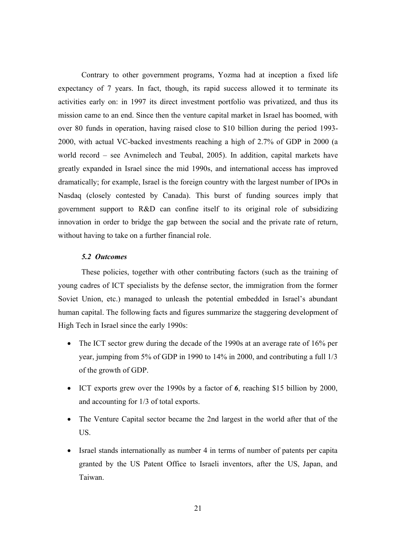Contrary to other government programs, Yozma had at inception a fixed life expectancy of 7 years. In fact, though, its rapid success allowed it to terminate its activities early on: in 1997 its direct investment portfolio was privatized, and thus its mission came to an end. Since then the venture capital market in Israel has boomed, with over 80 funds in operation, having raised close to \$10 billion during the period 1993- 2000, with actual VC-backed investments reaching a high of 2.7% of GDP in 2000 (a world record – see Avnimelech and Teubal, 2005). In addition, capital markets have greatly expanded in Israel since the mid 1990s, and international access has improved dramatically; for example, Israel is the foreign country with the largest number of IPOs in Nasdaq (closely contested by Canada). This burst of funding sources imply that government support to R&D can confine itself to its original role of subsidizing innovation in order to bridge the gap between the social and the private rate of return, without having to take on a further financial role.

#### *5.2 Outcomes*

These policies, together with other contributing factors (such as the training of young cadres of ICT specialists by the defense sector, the immigration from the former Soviet Union, etc.) managed to unleash the potential embedded in Israel's abundant human capital. The following facts and figures summarize the staggering development of High Tech in Israel since the early 1990s:

- The ICT sector grew during the decade of the 1990s at an average rate of 16% per year, jumping from 5% of GDP in 1990 to 14% in 2000, and contributing a full 1/3 of the growth of GDP.
- ICT exports grew over the 1990s by a factor of *6*, reaching \$15 billion by 2000, and accounting for 1/3 of total exports.
- The Venture Capital sector became the 2nd largest in the world after that of the US.
- Israel stands internationally as number 4 in terms of number of patents per capita granted by the US Patent Office to Israeli inventors, after the US, Japan, and Taiwan.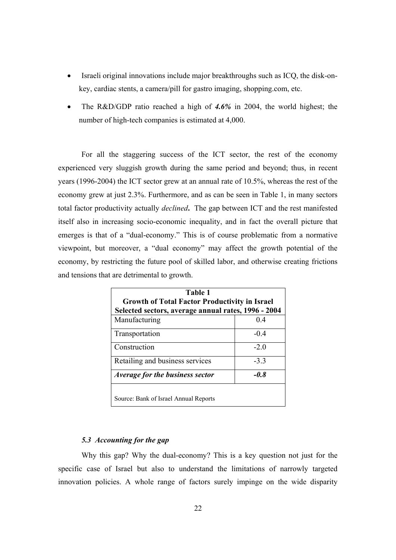- Israeli original innovations include major breakthroughs such as ICQ, the disk-onkey, cardiac stents, a camera/pill for gastro imaging, shopping.com, etc.
- The R&D/GDP ratio reached a high of *4.6%* in 2004, the world highest; the number of high-tech companies is estimated at 4,000.

For all the staggering success of the ICT sector, the rest of the economy experienced very sluggish growth during the same period and beyond; thus, in recent years (1996-2004) the ICT sector grew at an annual rate of 10.5%, whereas the rest of the economy grew at just 2.3%. Furthermore, and as can be seen in Table 1, in many sectors total factor productivity actually *declined***.** The gap between ICT and the rest manifested itself also in increasing socio-economic inequality, and in fact the overall picture that emerges is that of a "dual-economy." This is of course problematic from a normative viewpoint, but moreover, a "dual economy" may affect the growth potential of the economy, by restricting the future pool of skilled labor, and otherwise creating frictions and tensions that are detrimental to growth.

| Table 1<br><b>Growth of Total Factor Productivity in Israel</b><br>Selected sectors, average annual rates, 1996 - 2004 |        |
|------------------------------------------------------------------------------------------------------------------------|--------|
| Manufacturing                                                                                                          | 04     |
| Transportation                                                                                                         | $-0.4$ |
| Construction                                                                                                           | $-2.0$ |
| Retailing and business services                                                                                        | $-3.3$ |
| Average for the business sector                                                                                        | $-0.8$ |
| Source: Bank of Israel Annual Reports                                                                                  |        |

## *5.3 Accounting for the gap*

Why this gap? Why the dual-economy? This is a key question not just for the specific case of Israel but also to understand the limitations of narrowly targeted innovation policies. A whole range of factors surely impinge on the wide disparity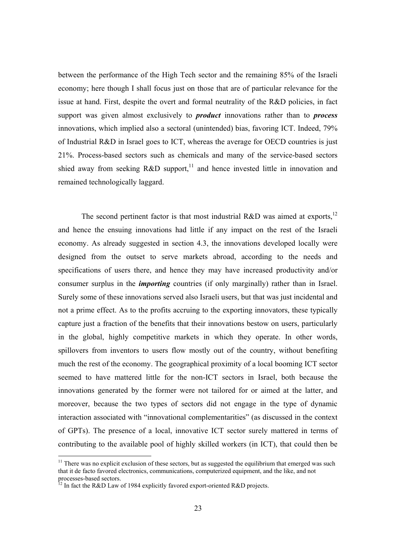between the performance of the High Tech sector and the remaining 85% of the Israeli economy; here though I shall focus just on those that are of particular relevance for the issue at hand. First, despite the overt and formal neutrality of the R&D policies, in fact support was given almost exclusively to *product* innovations rather than to *process* innovations, which implied also a sectoral (unintended) bias, favoring ICT. Indeed, 79% of Industrial R&D in Israel goes to ICT, whereas the average for OECD countries is just 21%. Process-based sectors such as chemicals and many of the service-based sectors shied away from seeking R&D support,<sup>11</sup> and hence invested little in innovation and remained technologically laggard.

The second pertinent factor is that most industrial R&D was aimed at exports,  $12$ and hence the ensuing innovations had little if any impact on the rest of the Israeli economy. As already suggested in section 4.3, the innovations developed locally were designed from the outset to serve markets abroad, according to the needs and specifications of users there, and hence they may have increased productivity and/or consumer surplus in the *importing* countries (if only marginally) rather than in Israel. Surely some of these innovations served also Israeli users, but that was just incidental and not a prime effect. As to the profits accruing to the exporting innovators, these typically capture just a fraction of the benefits that their innovations bestow on users, particularly in the global, highly competitive markets in which they operate. In other words, spillovers from inventors to users flow mostly out of the country, without benefiting much the rest of the economy. The geographical proximity of a local booming ICT sector seemed to have mattered little for the non-ICT sectors in Israel, both because the innovations generated by the former were not tailored for or aimed at the latter, and moreover, because the two types of sectors did not engage in the type of dynamic interaction associated with "innovational complementarities" (as discussed in the context of GPTs). The presence of a local, innovative ICT sector surely mattered in terms of contributing to the available pool of highly skilled workers (in ICT), that could then be

 $11$  There was no explicit exclusion of these sectors, but as suggested the equilibrium that emerged was such that it de facto favored electronics, communications, computerized equipment, and the like, and not processes-based sectors.

<sup>&</sup>lt;sup>12</sup> In fact the R&D Law of 1984 explicitly favored export-oriented R&D projects.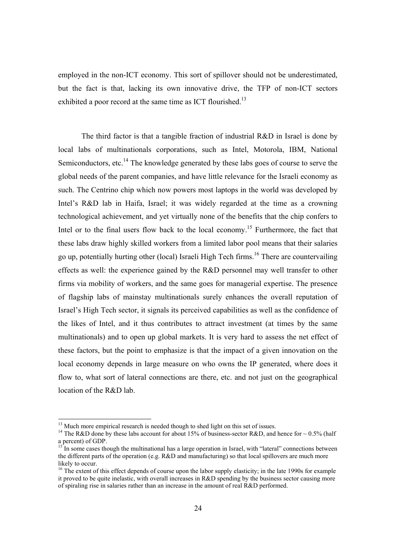employed in the non-ICT economy. This sort of spillover should not be underestimated, but the fact is that, lacking its own innovative drive, the TFP of non-ICT sectors exhibited a poor record at the same time as ICT flourished.<sup>13</sup>

The third factor is that a tangible fraction of industrial R&D in Israel is done by local labs of multinationals corporations, such as Intel, Motorola, IBM, National Semiconductors, etc.<sup>14</sup> The knowledge generated by these labs goes of course to serve the global needs of the parent companies, and have little relevance for the Israeli economy as such. The Centrino chip which now powers most laptops in the world was developed by Intel's R&D lab in Haifa, Israel; it was widely regarded at the time as a crowning technological achievement, and yet virtually none of the benefits that the chip confers to Intel or to the final users flow back to the local economy.<sup>15</sup> Furthermore, the fact that these labs draw highly skilled workers from a limited labor pool means that their salaries go up, potentially hurting other (local) Israeli High Tech firms.16 There are countervailing effects as well: the experience gained by the R&D personnel may well transfer to other firms via mobility of workers, and the same goes for managerial expertise. The presence of flagship labs of mainstay multinationals surely enhances the overall reputation of Israel's High Tech sector, it signals its perceived capabilities as well as the confidence of the likes of Intel, and it thus contributes to attract investment (at times by the same multinationals) and to open up global markets. It is very hard to assess the net effect of these factors, but the point to emphasize is that the impact of a given innovation on the local economy depends in large measure on who owns the IP generated, where does it flow to, what sort of lateral connections are there, etc. and not just on the geographical location of the R&D lab.

<sup>&</sup>lt;sup>13</sup> Much more empirical research is needed though to shed light on this set of issues.

<sup>&</sup>lt;sup>14</sup> The R&D done by these labs account for about 15% of business-sector R&D, and hence for ~ 0.5% (half a percent) of GDP.

 $15$  In some cases though the multinational has a large operation in Israel, with "lateral" connections between the different parts of the operation (e.g. R&D and manufacturing) so that local spillovers are much more likely to occur.

<sup>&</sup>lt;sup>16</sup> The extent of this effect depends of course upon the labor supply elasticity; in the late 1990s for example it proved to be quite inelastic, with overall increases in R&D spending by the business sector causing more of spiraling rise in salaries rather than an increase in the amount of real R&D performed.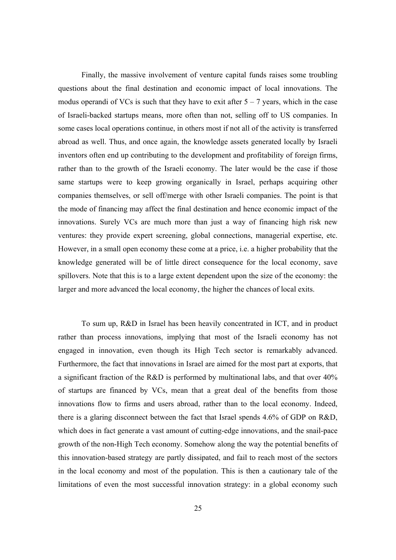Finally, the massive involvement of venture capital funds raises some troubling questions about the final destination and economic impact of local innovations. The modus operandi of VCs is such that they have to exit after  $5 - 7$  years, which in the case of Israeli-backed startups means, more often than not, selling off to US companies. In some cases local operations continue, in others most if not all of the activity is transferred abroad as well. Thus, and once again, the knowledge assets generated locally by Israeli inventors often end up contributing to the development and profitability of foreign firms, rather than to the growth of the Israeli economy. The later would be the case if those same startups were to keep growing organically in Israel, perhaps acquiring other companies themselves, or sell off/merge with other Israeli companies. The point is that the mode of financing may affect the final destination and hence economic impact of the innovations. Surely VCs are much more than just a way of financing high risk new ventures: they provide expert screening, global connections, managerial expertise, etc. However, in a small open economy these come at a price, i.e. a higher probability that the knowledge generated will be of little direct consequence for the local economy, save spillovers. Note that this is to a large extent dependent upon the size of the economy: the larger and more advanced the local economy, the higher the chances of local exits.

To sum up, R&D in Israel has been heavily concentrated in ICT, and in product rather than process innovations, implying that most of the Israeli economy has not engaged in innovation, even though its High Tech sector is remarkably advanced. Furthermore, the fact that innovations in Israel are aimed for the most part at exports, that a significant fraction of the R&D is performed by multinational labs, and that over 40% of startups are financed by VCs, mean that a great deal of the benefits from those innovations flow to firms and users abroad, rather than to the local economy. Indeed, there is a glaring disconnect between the fact that Israel spends 4.6% of GDP on R&D, which does in fact generate a vast amount of cutting-edge innovations, and the snail-pace growth of the non-High Tech economy. Somehow along the way the potential benefits of this innovation-based strategy are partly dissipated, and fail to reach most of the sectors in the local economy and most of the population. This is then a cautionary tale of the limitations of even the most successful innovation strategy: in a global economy such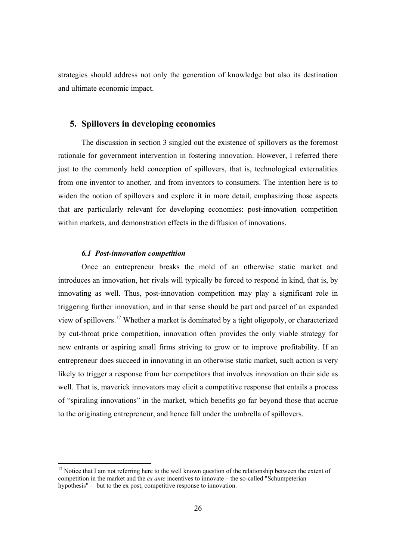strategies should address not only the generation of knowledge but also its destination and ultimate economic impact.

## **5. Spillovers in developing economies**

The discussion in section 3 singled out the existence of spillovers as the foremost rationale for government intervention in fostering innovation. However, I referred there just to the commonly held conception of spillovers, that is, technological externalities from one inventor to another, and from inventors to consumers. The intention here is to widen the notion of spillovers and explore it in more detail, emphasizing those aspects that are particularly relevant for developing economies: post-innovation competition within markets, and demonstration effects in the diffusion of innovations.

#### *6.1 Post-innovation competition*

Once an entrepreneur breaks the mold of an otherwise static market and introduces an innovation, her rivals will typically be forced to respond in kind, that is, by innovating as well. Thus, post-innovation competition may play a significant role in triggering further innovation, and in that sense should be part and parcel of an expanded view of spillovers.17 Whether a market is dominated by a tight oligopoly, or characterized by cut-throat price competition, innovation often provides the only viable strategy for new entrants or aspiring small firms striving to grow or to improve profitability. If an entrepreneur does succeed in innovating in an otherwise static market, such action is very likely to trigger a response from her competitors that involves innovation on their side as well. That is, maverick innovators may elicit a competitive response that entails a process of "spiraling innovations" in the market, which benefits go far beyond those that accrue to the originating entrepreneur, and hence fall under the umbrella of spillovers.

<sup>&</sup>lt;sup>17</sup> Notice that I am not referring here to the well known question of the relationship between the extent of competition in the market and the *ex ante* incentives to innovate – the so-called "Schumpeterian hypothesis" – but to the ex post, competitive response to innovation.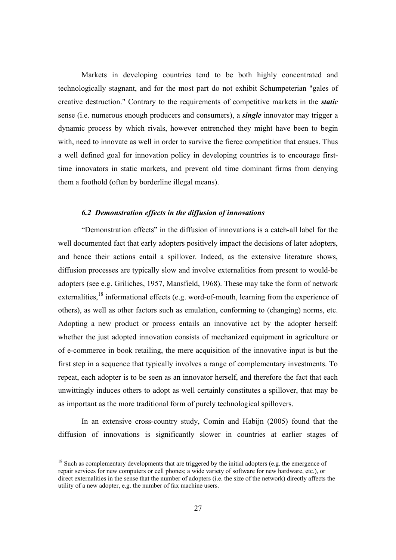Markets in developing countries tend to be both highly concentrated and technologically stagnant, and for the most part do not exhibit Schumpeterian "gales of creative destruction." Contrary to the requirements of competitive markets in the *static* sense (i.e. numerous enough producers and consumers), a *single* innovator may trigger a dynamic process by which rivals, however entrenched they might have been to begin with, need to innovate as well in order to survive the fierce competition that ensues. Thus a well defined goal for innovation policy in developing countries is to encourage firsttime innovators in static markets, and prevent old time dominant firms from denying them a foothold (often by borderline illegal means).

#### *6.2 Demonstration effects in the diffusion of innovations*

"Demonstration effects" in the diffusion of innovations is a catch-all label for the well documented fact that early adopters positively impact the decisions of later adopters, and hence their actions entail a spillover. Indeed, as the extensive literature shows, diffusion processes are typically slow and involve externalities from present to would-be adopters (see e.g. Griliches, 1957, Mansfield, 1968). These may take the form of network externalities,  $^{18}$  informational effects (e.g. word-of-mouth, learning from the experience of others), as well as other factors such as emulation, conforming to (changing) norms, etc. Adopting a new product or process entails an innovative act by the adopter herself: whether the just adopted innovation consists of mechanized equipment in agriculture or of e-commerce in book retailing, the mere acquisition of the innovative input is but the first step in a sequence that typically involves a range of complementary investments. To repeat, each adopter is to be seen as an innovator herself, and therefore the fact that each unwittingly induces others to adopt as well certainly constitutes a spillover, that may be as important as the more traditional form of purely technological spillovers.

In an extensive cross-country study, Comin and Habijn (2005) found that the diffusion of innovations is significantly slower in countries at earlier stages of

 $18$  Such as complementary developments that are triggered by the initial adopters (e.g. the emergence of repair services for new computers or cell phones; a wide variety of software for new hardware, etc.), or direct externalities in the sense that the number of adopters (i.e. the size of the network) directly affects the utility of a new adopter, e.g. the number of fax machine users.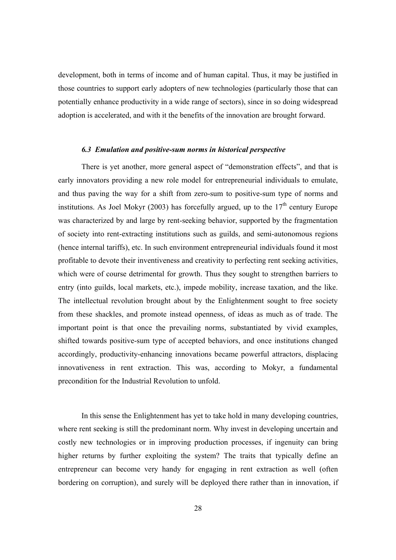development, both in terms of income and of human capital. Thus, it may be justified in those countries to support early adopters of new technologies (particularly those that can potentially enhance productivity in a wide range of sectors), since in so doing widespread adoption is accelerated, and with it the benefits of the innovation are brought forward.

#### *6.3 Emulation and positive-sum norms in historical perspective*

There is yet another, more general aspect of "demonstration effects", and that is early innovators providing a new role model for entrepreneurial individuals to emulate, and thus paving the way for a shift from zero-sum to positive-sum type of norms and institutions. As Joel Mokyr (2003) has forcefully argued, up to the  $17<sup>th</sup>$  century Europe was characterized by and large by rent-seeking behavior, supported by the fragmentation of society into rent-extracting institutions such as guilds, and semi-autonomous regions (hence internal tariffs), etc. In such environment entrepreneurial individuals found it most profitable to devote their inventiveness and creativity to perfecting rent seeking activities, which were of course detrimental for growth. Thus they sought to strengthen barriers to entry (into guilds, local markets, etc.), impede mobility, increase taxation, and the like. The intellectual revolution brought about by the Enlightenment sought to free society from these shackles, and promote instead openness, of ideas as much as of trade. The important point is that once the prevailing norms, substantiated by vivid examples, shifted towards positive-sum type of accepted behaviors, and once institutions changed accordingly, productivity-enhancing innovations became powerful attractors, displacing innovativeness in rent extraction. This was, according to Mokyr, a fundamental precondition for the Industrial Revolution to unfold.

 In this sense the Enlightenment has yet to take hold in many developing countries, where rent seeking is still the predominant norm. Why invest in developing uncertain and costly new technologies or in improving production processes, if ingenuity can bring higher returns by further exploiting the system? The traits that typically define an entrepreneur can become very handy for engaging in rent extraction as well (often bordering on corruption), and surely will be deployed there rather than in innovation, if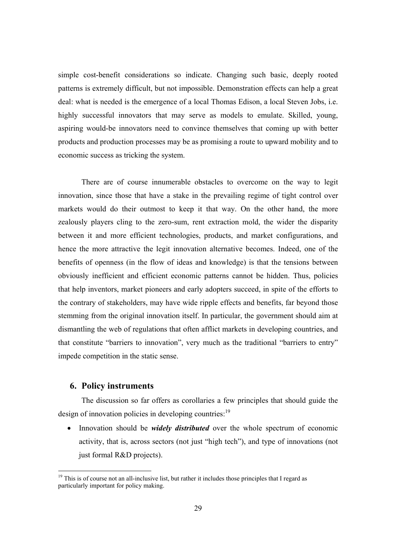simple cost-benefit considerations so indicate. Changing such basic, deeply rooted patterns is extremely difficult, but not impossible. Demonstration effects can help a great deal: what is needed is the emergence of a local Thomas Edison, a local Steven Jobs, i.e. highly successful innovators that may serve as models to emulate. Skilled, young, aspiring would-be innovators need to convince themselves that coming up with better products and production processes may be as promising a route to upward mobility and to economic success as tricking the system.

There are of course innumerable obstacles to overcome on the way to legit innovation, since those that have a stake in the prevailing regime of tight control over markets would do their outmost to keep it that way. On the other hand, the more zealously players cling to the zero-sum, rent extraction mold, the wider the disparity between it and more efficient technologies, products, and market configurations, and hence the more attractive the legit innovation alternative becomes. Indeed, one of the benefits of openness (in the flow of ideas and knowledge) is that the tensions between obviously inefficient and efficient economic patterns cannot be hidden. Thus, policies that help inventors, market pioneers and early adopters succeed, in spite of the efforts to the contrary of stakeholders, may have wide ripple effects and benefits, far beyond those stemming from the original innovation itself. In particular, the government should aim at dismantling the web of regulations that often afflict markets in developing countries, and that constitute "barriers to innovation", very much as the traditional "barriers to entry" impede competition in the static sense.

#### **6. Policy instruments**

The discussion so far offers as corollaries a few principles that should guide the design of innovation policies in developing countries:<sup>19</sup>

• Innovation should be *widely distributed* over the whole spectrum of economic activity, that is, across sectors (not just "high tech"), and type of innovations (not just formal R&D projects).

 $19$  This is of course not an all-inclusive list, but rather it includes those principles that I regard as particularly important for policy making.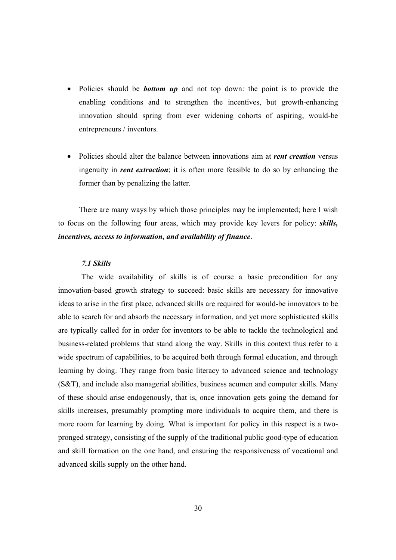- Policies should be *bottom up* and not top down: the point is to provide the enabling conditions and to strengthen the incentives, but growth-enhancing innovation should spring from ever widening cohorts of aspiring, would-be entrepreneurs / inventors.
- Policies should alter the balance between innovations aim at *rent creation* versus ingenuity in *rent extraction*; it is often more feasible to do so by enhancing the former than by penalizing the latter.

There are many ways by which those principles may be implemented; here I wish to focus on the following four areas, which may provide key levers for policy: *skills, incentives, access to information, and availability of finance*.

#### *7.1 Skills*

The wide availability of skills is of course a basic precondition for any innovation-based growth strategy to succeed: basic skills are necessary for innovative ideas to arise in the first place, advanced skills are required for would-be innovators to be able to search for and absorb the necessary information, and yet more sophisticated skills are typically called for in order for inventors to be able to tackle the technological and business-related problems that stand along the way. Skills in this context thus refer to a wide spectrum of capabilities, to be acquired both through formal education, and through learning by doing. They range from basic literacy to advanced science and technology (S&T), and include also managerial abilities, business acumen and computer skills. Many of these should arise endogenously, that is, once innovation gets going the demand for skills increases, presumably prompting more individuals to acquire them, and there is more room for learning by doing. What is important for policy in this respect is a twopronged strategy, consisting of the supply of the traditional public good-type of education and skill formation on the one hand, and ensuring the responsiveness of vocational and advanced skills supply on the other hand.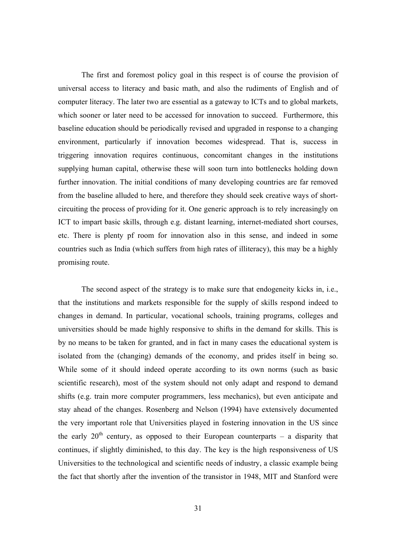The first and foremost policy goal in this respect is of course the provision of universal access to literacy and basic math, and also the rudiments of English and of computer literacy. The later two are essential as a gateway to ICTs and to global markets, which sooner or later need to be accessed for innovation to succeed. Furthermore, this baseline education should be periodically revised and upgraded in response to a changing environment, particularly if innovation becomes widespread. That is, success in triggering innovation requires continuous, concomitant changes in the institutions supplying human capital, otherwise these will soon turn into bottlenecks holding down further innovation. The initial conditions of many developing countries are far removed from the baseline alluded to here, and therefore they should seek creative ways of shortcircuiting the process of providing for it. One generic approach is to rely increasingly on ICT to impart basic skills, through e.g. distant learning, internet-mediated short courses, etc. There is plenty pf room for innovation also in this sense, and indeed in some countries such as India (which suffers from high rates of illiteracy), this may be a highly promising route.

 The second aspect of the strategy is to make sure that endogeneity kicks in, i.e., that the institutions and markets responsible for the supply of skills respond indeed to changes in demand. In particular, vocational schools, training programs, colleges and universities should be made highly responsive to shifts in the demand for skills. This is by no means to be taken for granted, and in fact in many cases the educational system is isolated from the (changing) demands of the economy, and prides itself in being so. While some of it should indeed operate according to its own norms (such as basic scientific research), most of the system should not only adapt and respond to demand shifts (e.g. train more computer programmers, less mechanics), but even anticipate and stay ahead of the changes. Rosenberg and Nelson (1994) have extensively documented the very important role that Universities played in fostering innovation in the US since the early  $20<sup>th</sup>$  century, as opposed to their European counterparts – a disparity that continues, if slightly diminished, to this day. The key is the high responsiveness of US Universities to the technological and scientific needs of industry, a classic example being the fact that shortly after the invention of the transistor in 1948, MIT and Stanford were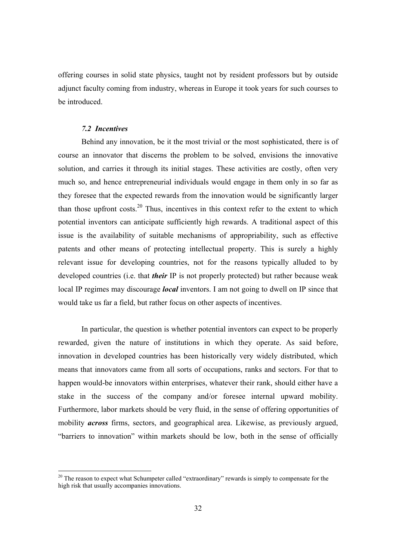offering courses in solid state physics, taught not by resident professors but by outside adjunct faculty coming from industry, whereas in Europe it took years for such courses to be introduced.

#### *7.2 Incentives*

 Behind any innovation, be it the most trivial or the most sophisticated, there is of course an innovator that discerns the problem to be solved, envisions the innovative solution, and carries it through its initial stages. These activities are costly, often very much so, and hence entrepreneurial individuals would engage in them only in so far as they foresee that the expected rewards from the innovation would be significantly larger than those upfront costs.<sup>20</sup> Thus, incentives in this context refer to the extent to which potential inventors can anticipate sufficiently high rewards. A traditional aspect of this issue is the availability of suitable mechanisms of appropriability, such as effective patents and other means of protecting intellectual property. This is surely a highly relevant issue for developing countries, not for the reasons typically alluded to by developed countries (i.e. that *their* IP is not properly protected) but rather because weak local IP regimes may discourage *local* inventors. I am not going to dwell on IP since that would take us far a field, but rather focus on other aspects of incentives.

 In particular, the question is whether potential inventors can expect to be properly rewarded, given the nature of institutions in which they operate. As said before, innovation in developed countries has been historically very widely distributed, which means that innovators came from all sorts of occupations, ranks and sectors. For that to happen would-be innovators within enterprises, whatever their rank, should either have a stake in the success of the company and/or foresee internal upward mobility. Furthermore, labor markets should be very fluid, in the sense of offering opportunities of mobility *across* firms, sectors, and geographical area. Likewise, as previously argued, "barriers to innovation" within markets should be low, both in the sense of officially

 $20$  The reason to expect what Schumpeter called "extraordinary" rewards is simply to compensate for the high risk that usually accompanies innovations.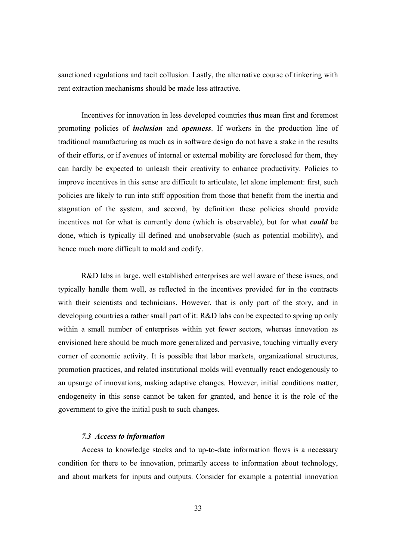sanctioned regulations and tacit collusion. Lastly, the alternative course of tinkering with rent extraction mechanisms should be made less attractive.

 Incentives for innovation in less developed countries thus mean first and foremost promoting policies of *inclusion* and *openness*. If workers in the production line of traditional manufacturing as much as in software design do not have a stake in the results of their efforts, or if avenues of internal or external mobility are foreclosed for them, they can hardly be expected to unleash their creativity to enhance productivity. Policies to improve incentives in this sense are difficult to articulate, let alone implement: first, such policies are likely to run into stiff opposition from those that benefit from the inertia and stagnation of the system, and second, by definition these policies should provide incentives not for what is currently done (which is observable), but for what *could* be done, which is typically ill defined and unobservable (such as potential mobility), and hence much more difficult to mold and codify.

 R&D labs in large, well established enterprises are well aware of these issues, and typically handle them well, as reflected in the incentives provided for in the contracts with their scientists and technicians. However, that is only part of the story, and in developing countries a rather small part of it: R&D labs can be expected to spring up only within a small number of enterprises within yet fewer sectors, whereas innovation as envisioned here should be much more generalized and pervasive, touching virtually every corner of economic activity. It is possible that labor markets, organizational structures, promotion practices, and related institutional molds will eventually react endogenously to an upsurge of innovations, making adaptive changes. However, initial conditions matter, endogeneity in this sense cannot be taken for granted, and hence it is the role of the government to give the initial push to such changes.

## *7.3 Access to information*

 Access to knowledge stocks and to up-to-date information flows is a necessary condition for there to be innovation, primarily access to information about technology, and about markets for inputs and outputs. Consider for example a potential innovation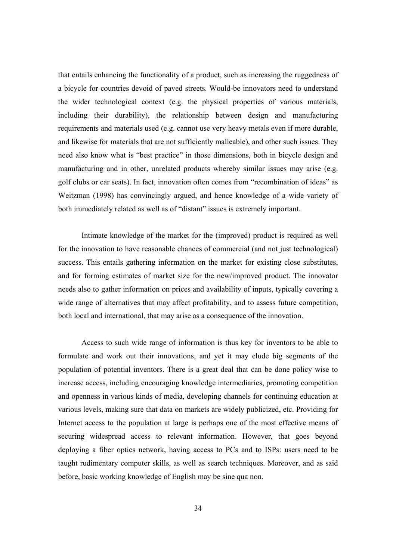that entails enhancing the functionality of a product, such as increasing the ruggedness of a bicycle for countries devoid of paved streets. Would-be innovators need to understand the wider technological context (e.g. the physical properties of various materials, including their durability), the relationship between design and manufacturing requirements and materials used (e.g. cannot use very heavy metals even if more durable, and likewise for materials that are not sufficiently malleable), and other such issues. They need also know what is "best practice" in those dimensions, both in bicycle design and manufacturing and in other, unrelated products whereby similar issues may arise (e.g. golf clubs or car seats). In fact, innovation often comes from "recombination of ideas" as Weitzman (1998) has convincingly argued, and hence knowledge of a wide variety of both immediately related as well as of "distant" issues is extremely important.

 Intimate knowledge of the market for the (improved) product is required as well for the innovation to have reasonable chances of commercial (and not just technological) success. This entails gathering information on the market for existing close substitutes, and for forming estimates of market size for the new/improved product. The innovator needs also to gather information on prices and availability of inputs, typically covering a wide range of alternatives that may affect profitability, and to assess future competition, both local and international, that may arise as a consequence of the innovation.

 Access to such wide range of information is thus key for inventors to be able to formulate and work out their innovations, and yet it may elude big segments of the population of potential inventors. There is a great deal that can be done policy wise to increase access, including encouraging knowledge intermediaries, promoting competition and openness in various kinds of media, developing channels for continuing education at various levels, making sure that data on markets are widely publicized, etc. Providing for Internet access to the population at large is perhaps one of the most effective means of securing widespread access to relevant information. However, that goes beyond deploying a fiber optics network, having access to PCs and to ISPs: users need to be taught rudimentary computer skills, as well as search techniques. Moreover, and as said before, basic working knowledge of English may be sine qua non.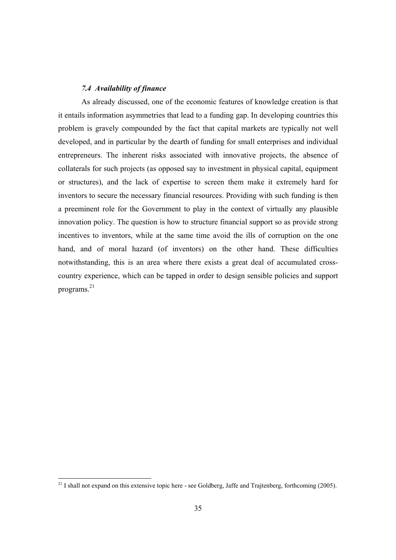#### *7.4 Availability of finance*

 As already discussed, one of the economic features of knowledge creation is that it entails information asymmetries that lead to a funding gap. In developing countries this problem is gravely compounded by the fact that capital markets are typically not well developed, and in particular by the dearth of funding for small enterprises and individual entrepreneurs. The inherent risks associated with innovative projects, the absence of collaterals for such projects (as opposed say to investment in physical capital, equipment or structures), and the lack of expertise to screen them make it extremely hard for inventors to secure the necessary financial resources. Providing with such funding is then a preeminent role for the Government to play in the context of virtually any plausible innovation policy. The question is how to structure financial support so as provide strong incentives to inventors, while at the same time avoid the ills of corruption on the one hand, and of moral hazard (of inventors) on the other hand. These difficulties notwithstanding, this is an area where there exists a great deal of accumulated crosscountry experience, which can be tapped in order to design sensible policies and support programs.21

<sup>&</sup>lt;sup>21</sup> I shall not expand on this extensive topic here - see Goldberg, Jaffe and Trajtenberg, forthcoming (2005).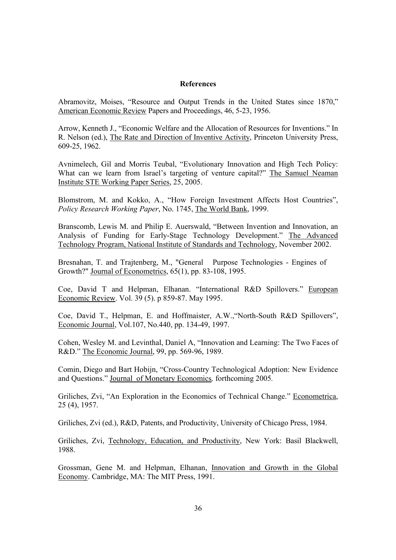#### **References**

Abramovitz, Moises, "Resource and Output Trends in the United States since 1870," American Economic Review Papers and Proceedings, 46, 5-23, 1956.

Arrow, Kenneth J., "Economic Welfare and the Allocation of Resources for Inventions." In R. Nelson (ed.), The Rate and Direction of Inventive Activity, Princeton University Press, 609-25, 1962.

Avnimelech, Gil and Morris Teubal, "Evolutionary Innovation and High Tech Policy: What can we learn from Israel's targeting of venture capital?" The Samuel Neaman Institute STE Working Paper Series, 25, 2005.

Blomstrom, M. and Kokko, A., "How Foreign Investment Affects Host Countries", *Policy Research Working Paper*, No. 1745, The World Bank, 1999.

Branscomb, Lewis M. and Philip E. Auerswald, "Between Invention and Innovation, an Analysis of Funding for Early-Stage Technology Development." The Advanced Technology Program, National Institute of Standards and Technology, November 2002.

Bresnahan, T. and Trajtenberg, M., "General Purpose Technologies - Engines of Growth?" Journal of Econometrics, 65(1), pp. 83-108, 1995.

Coe, David T and Helpman, Elhanan. "International R&D Spillovers." European Economic Review. Vol. 39 (5). p 859-87. May 1995.

Coe, David T., Helpman, E. and Hoffmaister, A.W.,"North-South R&D Spillovers", Economic Journal, Vol.107, No.440, pp. 134-49, 1997.

Cohen, Wesley M. and Levinthal, Daniel A, "Innovation and Learning: The Two Faces of R&D." The Economic Journal, 99, pp. 569-96, 1989.

Comin, Diego and Bart Hobijn, "Cross-Country Technological Adoption: New Evidence and Questions." Journal of Monetary Economics*,* forthcoming 2005*.*

Griliches, Zvi, "An Exploration in the Economics of Technical Change." Econometrica, 25 (4), 1957.

Griliches, Zvi (ed.), R&D, Patents, and Productivity, University of Chicago Press, 1984.

Griliches, Zvi, Technology, Education, and Productivity, New York: Basil Blackwell, 1988.

Grossman, Gene M. and Helpman, Elhanan, Innovation and Growth in the Global Economy. Cambridge, MA: The MIT Press, 1991.